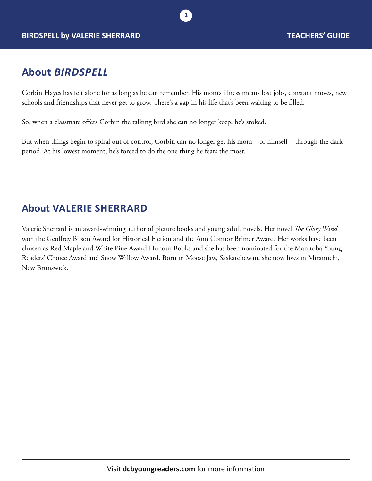

## **About** *BIRDSPELL*

Corbin Hayes has felt alone for as long as he can remember. His mom's illness means lost jobs, constant moves, new schools and friendships that never get to grow. There's a gap in his life that's been waiting to be filled.

**1**

So, when a classmate offers Corbin the talking bird she can no longer keep, he's stoked.

But when things begin to spiral out of control, Corbin can no longer get his mom – or himself – through the dark period. At his lowest moment, he's forced to do the one thing he fears the most.

### **About VALERIE SHERRARD**

Valerie Sherrard is an award-winning author of picture books and young adult novels. Her novel *The Glory Wind* won the Geoffrey Bilson Award for Historical Fiction and the Ann Connor Brimer Award. Her works have been chosen as Red Maple and White Pine Award Honour Books and she has been nominated for the Manitoba Young Readers' Choice Award and Snow Willow Award. Born in Moose Jaw, Saskatchewan, she now lives in Miramichi, New Brunswick.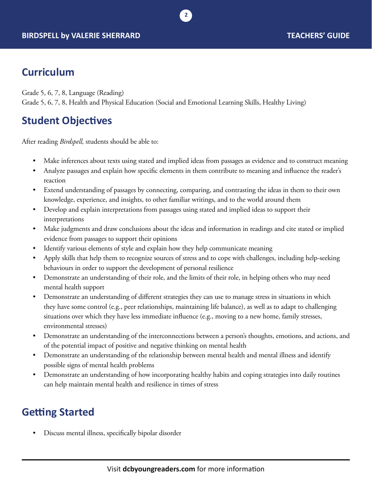## **Curriculum**

Grade 5, 6, 7, 8, Language (Reading) Grade 5, 6, 7, 8, Health and Physical Education (Social and Emotional Learning Skills, Healthy Living)

# **Student Objectives**

After reading *Birdspell,* students should be able to:

• Make inferences about texts using stated and implied ideas from passages as evidence and to construct meaning

**2**

- Analyze passages and explain how specific elements in them contribute to meaning and influence the reader's reaction
- Extend understanding of passages by connecting, comparing, and contrasting the ideas in them to their own knowledge, experience, and insights, to other familiar writings, and to the world around them
- Develop and explain interpretations from passages using stated and implied ideas to support their interpretations
- Make judgments and draw conclusions about the ideas and information in readings and cite stated or implied evidence from passages to support their opinions
- Identify various elements of style and explain how they help communicate meaning
- Apply skills that help them to recognize sources of stress and to cope with challenges, including help-seeking behaviours in order to support the development of personal resilience
- Demonstrate an understanding of their role, and the limits of their role, in helping others who may need mental health support
- Demonstrate an understanding of different strategies they can use to manage stress in situations in which they have some control (e.g., peer relationships, maintaining life balance), as well as to adapt to challenging situations over which they have less immediate influence (e.g., moving to a new home, family stresses, environmental stresses)
- Demonstrate an understanding of the interconnections between a person's thoughts, emotions, and actions, and of the potential impact of positive and negative thinking on mental health
- Demonstrate an understanding of the relationship between mental health and mental illness and identify possible signs of mental health problems
- Demonstrate an understanding of how incorporating healthy habits and coping strategies into daily routines can help maintain mental health and resilience in times of stress

# **Getting Started**

• Discuss mental illness, specifically bipolar disorder